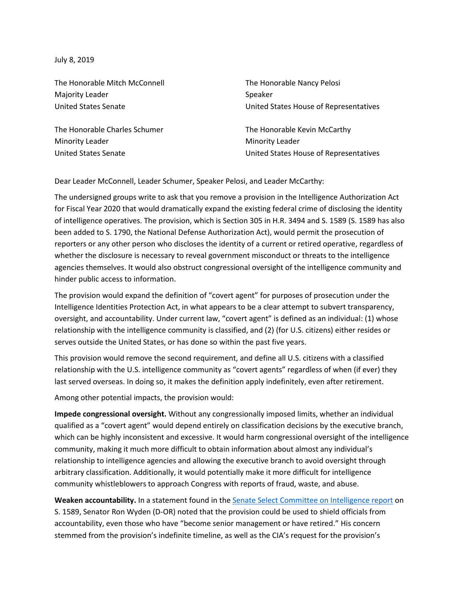July 8, 2019

The Honorable Mitch McConnell Majority Leader United States Senate

The Honorable Charles Schumer Minority Leader United States Senate

The Honorable Nancy Pelosi Speaker United States House of Representatives

The Honorable Kevin McCarthy Minority Leader United States House of Representatives

Dear Leader McConnell, Leader Schumer, Speaker Pelosi, and Leader McCarthy:

The undersigned groups write to ask that you remove a provision in the Intelligence Authorization Act for Fiscal Year 2020 that would dramatically expand the existing federal crime of disclosing the identity of intelligence operatives. The provision, which is Section 305 in H.R. 3494 and S. 1589 (S. 1589 has also been added to S. 1790, the National Defense Authorization Act), would permit the prosecution of reporters or any other person who discloses the identity of a current or retired operative, regardless of whether the disclosure is necessary to reveal government misconduct or threats to the intelligence agencies themselves. It would also obstruct congressional oversight of the intelligence community and hinder public access to information.

The provision would expand the definition of "covert agent" for purposes of prosecution under the Intelligence Identities Protection Act, in what appears to be a clear attempt to subvert transparency, oversight, and accountability. Under current law, "covert agent" is defined as an individual: (1) whose relationship with the intelligence community is classified, and (2) (for U.S. citizens) either resides or serves outside the United States, or has done so within the past five years.

This provision would remove the second requirement, and define all U.S. citizens with a classified relationship with the U.S. intelligence community as "covert agents" regardless of when (if ever) they last served overseas. In doing so, it makes the definition apply indefinitely, even after retirement.

Among other potential impacts, the provision would:

**Impede congressional oversight.** Without any congressionally imposed limits, whether an individual qualified as a "covert agent" would depend entirely on classification decisions by the executive branch, which can be highly inconsistent and excessive. It would harm congressional oversight of the intelligence community, making it much more difficult to obtain information about almost any individual's relationship to intelligence agencies and allowing the executive branch to avoid oversight through arbitrary classification. Additionally, it would potentially make it more difficult for intelligence community whistleblowers to approach Congress with reports of fraud, waste, and abuse.

**Weaken accountability.** In a statement found in the [Senate Select Committee on Intelligence report](https://fas.org/irp/congress/2019_rpt/ssci-auth.pdf) on S. 1589, Senator Ron Wyden (D-OR) noted that the provision could be used to shield officials from accountability, even those who have "become senior management or have retired." His concern stemmed from the provision's indefinite timeline, as well as the CIA's request for the provision's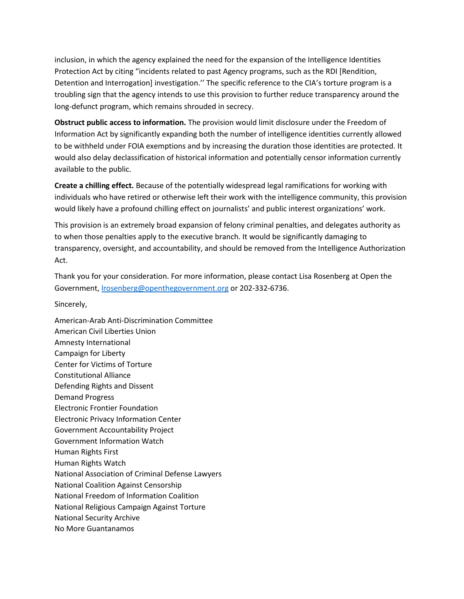inclusion, in which the agency explained the need for the expansion of the Intelligence Identities Protection Act by citing "incidents related to past Agency programs, such as the RDI [Rendition, Detention and Interrogation] investigation.'' The specific reference to the CIA's torture program is a troubling sign that the agency intends to use this provision to further reduce transparency around the long-defunct program, which remains shrouded in secrecy.

**Obstruct public access to information.** The provision would limit disclosure under the Freedom of Information Act by significantly expanding both the number of intelligence identities currently allowed to be withheld under FOIA exemptions and by increasing the duration those identities are protected. It would also delay declassification of historical information and potentially censor information currently available to the public.

**Create a chilling effect.** Because of the potentially widespread legal ramifications for working with individuals who have retired or otherwise left their work with the intelligence community, this provision would likely have a profound chilling effect on journalists' and public interest organizations' work.

This provision is an extremely broad expansion of felony criminal penalties, and delegates authority as to when those penalties apply to the executive branch. It would be significantly damaging to transparency, oversight, and accountability, and should be removed from the Intelligence Authorization Act.

Thank you for your consideration. For more information, please contact Lisa Rosenberg at Open the Government, [lrosenberg@openthegovernment.org](mailto:lrosenberg@openthegovernment.org) or 202-332-6736.

Sincerely,

American-Arab Anti-Discrimination Committee American Civil Liberties Union Amnesty International Campaign for Liberty Center for Victims of Torture Constitutional Alliance Defending Rights and Dissent Demand Progress Electronic Frontier Foundation Electronic Privacy Information Center Government Accountability Project Government Information Watch Human Rights First Human Rights Watch National Association of Criminal Defense Lawyers National Coalition Against Censorship National Freedom of Information Coalition National Religious Campaign Against Torture National Security Archive No More Guantanamos